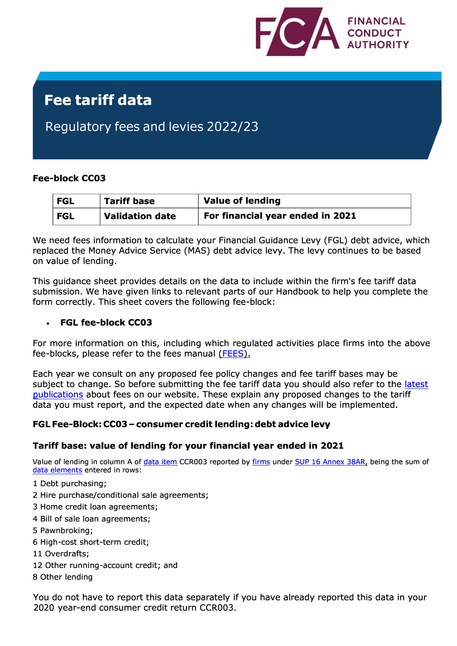

# **Fee tariff data**

## Regulatory fees and levies 2022/23

#### **Fee-block CC03**

| └ FGL | <b>Tariff base</b> | <b>Value of lending</b>          |  |
|-------|--------------------|----------------------------------|--|
| └ FGL | Validation date    | For financial year ended in 2021 |  |

We need fees information to calculate your Financial Guidance Levy (FGL) debt advice, which replaced the Money Advice Service (MAS) debt advice levy. The levy continues to be based on value of lending.

This guidance sheet provides details on the data to include within the firm's fee tariff data submission. We have given links to relevant parts of our Handbook to help you complete the form correctly. This sheet covers the following fee-block:

#### • **FGL fee-block CC03**

For more information on this, including which regulated activities place firms into the above fee-blocks, please refer to the fees manual [\(FEES\).](https://www.handbook.fca.org.uk/handbook/FEES/1/) 

Each year we consult on any proposed fee policy changes and fee tariff bases may be subject to change. So before submitting the fee tariff data you should also refer to the latest [publications](https://www.fca.org.uk/firms/fees/publications) about fees on our website. These explain any proposed changes to the tariff data you must report, and the expected date when any changes will be implemented.

### **FGL Fee-Block: CC03 - consumer credit lending: debt advice levy**

### **Tariff base: value of lending for your financial year ended in 2021**

Value of lending in column A o[f data item](https://www.handbook.fca.org.uk/handbook/glossary/G1935.html) CCR003 reported by [firms](https://www.handbook.fca.org.uk/handbook/glossary/G430.html) under [SUP 16 Annex 38AR,](https://www.handbook.fca.org.uk/form/sup/SUP_16_ann_38A_20161031.pdf) being the sum of [data elements](https://www.handbook.fca.org.uk/handbook/glossary/G1934.html) entered in rows:

- 1 Debt purchasing;
- 2 Hire purchase/conditional sale agreements;
- 3 Home credit loan agreements;
- 4 Bill of sale loan agreements;
- 5 Pawnbroking;
- 6 High-cost short-term credit;
- 11 Overdrafts;
- 12 Other running-account credit; and
- 8 Other lending

You do not have to report this data separately if you have already reported this data in your 2020 year-end consumer credit return CCR003.